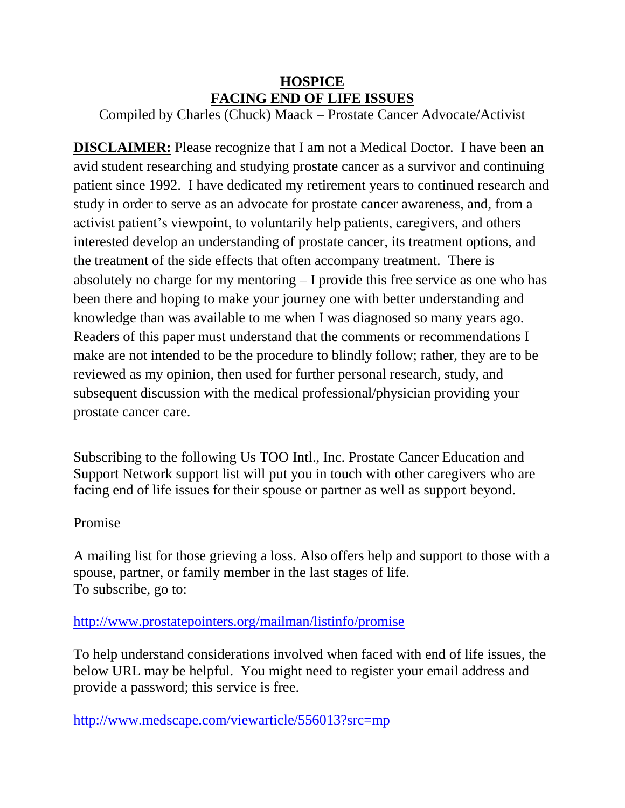## **HOSPICE FACING END OF LIFE ISSUES**

Compiled by Charles (Chuck) Maack – Prostate Cancer Advocate/Activist

**DISCLAIMER:** Please recognize that I am not a Medical Doctor. I have been an avid student researching and studying prostate cancer as a survivor and continuing patient since 1992. I have dedicated my retirement years to continued research and study in order to serve as an advocate for prostate cancer awareness, and, from a activist patient's viewpoint, to voluntarily help patients, caregivers, and others interested develop an understanding of prostate cancer, its treatment options, and the treatment of the side effects that often accompany treatment. There is absolutely no charge for my mentoring – I provide this free service as one who has been there and hoping to make your journey one with better understanding and knowledge than was available to me when I was diagnosed so many years ago. Readers of this paper must understand that the comments or recommendations I make are not intended to be the procedure to blindly follow; rather, they are to be reviewed as my opinion, then used for further personal research, study, and subsequent discussion with the medical professional/physician providing your prostate cancer care.

Subscribing to the following Us TOO Intl., Inc. Prostate Cancer Education and Support Network support list will put you in touch with other caregivers who are facing end of life issues for their spouse or partner as well as support beyond.

## Promise

A mailing list for those grieving a loss. Also offers help and support to those with a spouse, partner, or family member in the last stages of life. To subscribe, go to:

## <http://www.prostatepointers.org/mailman/listinfo/promise>

To help understand considerations involved when faced with end of life issues, the below URL may be helpful. You might need to register your email address and provide a password; this service is free.

<http://www.medscape.com/viewarticle/556013?src=mp>